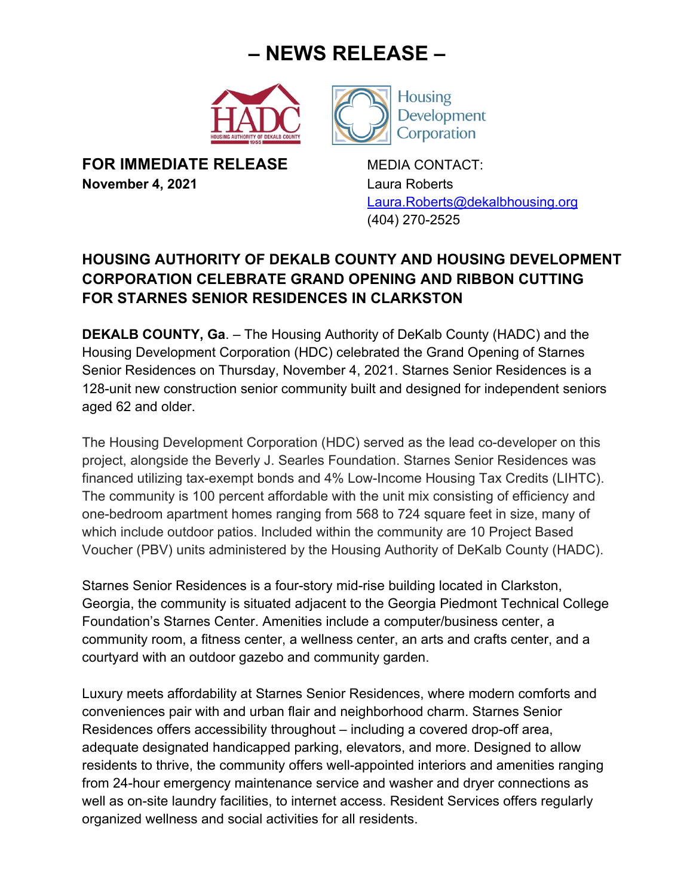## **– NEWS RELEASE –**





**FOR IMMEDIATE RELEASE** MEDIA CONTACT: **November 4, 2021** Laura Roberts

Laura.Roberts@dekalbhousing.org (404) 270-2525

## **HOUSING AUTHORITY OF DEKALB COUNTY AND HOUSING DEVELOPMENT CORPORATION CELEBRATE GRAND OPENING AND RIBBON CUTTING FOR STARNES SENIOR RESIDENCES IN CLARKSTON**

**DEKALB COUNTY, Ga**. – The Housing Authority of DeKalb County (HADC) and the Housing Development Corporation (HDC) celebrated the Grand Opening of Starnes Senior Residences on Thursday, November 4, 2021. Starnes Senior Residences is a 128-unit new construction senior community built and designed for independent seniors aged 62 and older.

The Housing Development Corporation (HDC) served as the lead co-developer on this project, alongside the Beverly J. Searles Foundation. Starnes Senior Residences was financed utilizing tax-exempt bonds and 4% Low-Income Housing Tax Credits (LIHTC). The community is 100 percent affordable with the unit mix consisting of efficiency and one-bedroom apartment homes ranging from 568 to 724 square feet in size, many of which include outdoor patios. Included within the community are 10 Project Based Voucher (PBV) units administered by the Housing Authority of DeKalb County (HADC).

Starnes Senior Residences is a four-story mid-rise building located in Clarkston, Georgia, the community is situated adjacent to the Georgia Piedmont Technical College Foundation's Starnes Center. Amenities include a computer/business center, a community room, a fitness center, a wellness center, an arts and crafts center, and a courtyard with an outdoor gazebo and community garden.

Luxury meets affordability at Starnes Senior Residences, where modern comforts and conveniences pair with and urban flair and neighborhood charm. Starnes Senior Residences offers accessibility throughout – including a covered drop-off area, adequate designated handicapped parking, elevators, and more. Designed to allow residents to thrive, the community offers well-appointed interiors and amenities ranging from 24-hour emergency maintenance service and washer and dryer connections as well as on-site laundry facilities, to internet access. Resident Services offers regularly organized wellness and social activities for all residents.